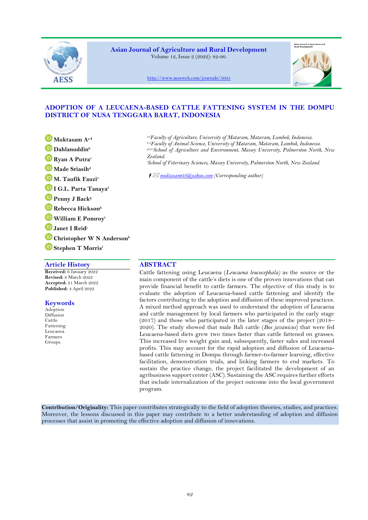

**Asian Journal of Agriculture and Rural Development** Volume 12, Issue 2 (2022): 82-90.



<http://www.aessweb.com/journals/5005>

# **ADOPTION OF A LEUCAENA-BASED CATTLE FATTENING SYSTEM IN THE DOMPU DISTRICT OF NUSA TENGGARA BARAT, INDONESIA**

- **[M](https://orcid.org/0000-0002-2074-9284)uktasam A<sup>a</sup>**
- **[D](https://orcid.org/0000-0001-9514-5082)ahlanuddin<sup>b</sup>**
- **[R](https://orcid.org/0000-0003-0874-498X)yan A Putra<sup>c</sup>**
- **[M](https://orcid.org/0000-0002-7497-8146)ade Sriasih<sup>d</sup>**
- **[M](https://orcid.org/0000-0003-4575-6701). Taufik Fauzi<sup>e</sup>**
- **[I](https://orcid.org/0000-0003-3663-9255) G.L. Parta Tanaya<sup>f</sup>**
- **[P](https://orcid.org/0000-0002-8939-686X)enny J Back<sup>g</sup>**
- **[R](https://orcid.org/0000-0002-9609-9599)ebecca Hickson<sup>h</sup>**
- **[W](https://orcid.org/0000-0003-2578-1678)illiam E Pomroy<sup>i</sup>**
- **[J](https://orcid.org/0000-0001-6307-7361)anet I Reid<sup>j</sup>**
- **[C](https://orcid.org/0000-0003-0935-1475)hristopher W N Anderson<sup>k</sup>**
- **[S](https://orcid.org/0000-0002-3646-1138)tephen T Morris<sup>l</sup>**

# **Article History ABSTRACT**

**Received:** 6 January 2022 **Revised:** 8 March 2022 **Accepted:** 21 March 2022 **Published:** 4 April 2022

# **Keywords**

Adoption Diffusion Cattle Fattening Leucaena Farmers Groups.

*a,e,fFaculty of Agriculture, University of Mataram, Mataram, Lombok, Indonesia. b,c,dFaculty of Animal Science, University of Mataram, Mataram, Lombok, Indonesia. g,h,j,k,lSchool of Agriculture and Environment, Massey University, Palmerston North, New Zealand.*

*<sup>i</sup>School of Veterinary Sciences, Massey University, Palmerston North, New Zealand.*

*muktasam03@yahoo.com (Corresponding author)*

Cattle fattening using Leucaena (*Leucaena leucocephala)* as the source or the main component of the cattle's diets is one of the proven innovations that can provide financial benefit to cattle farmers. The objective of this study is to evaluate the adoption of Leucaena-based cattle fattening and identify the factors contributing to the adoption and diffusion of these improved practices. A mixed method approach was used to understand the adoption of Leucaena and cattle management by local farmers who participated in the early stage (2017) and those who participated in the later stages of the project (2018– 2020). The study showed that male Bali cattle (*Bos javanicus*) that were fed Leucaena-based diets grew two times faster than cattle fattened on grasses. This increased live weight gain and, subsequently, faster sales and increased profits. This may account for the rapid adoption and diffusion of Leucaenabased cattle fattening in Dompu through farmer-to-farmer learning, effective facilitation, demonstration trials, and linking farmers to end markets. To sustain the practice change, the project facilitated the development of an agribusiness support center (ASC). Sustaining the ASC requires further efforts that include internalization of the project outcome into the local government program.

**Contribution/Originality:** This paper contributes strategically to the field of adoption theories, studies, and practices. Moreover, the lessons discussed in this paper may contribute to a better understanding of adoption and diffusion processes that assist in promoting the effective adoption and diffusion of innovations.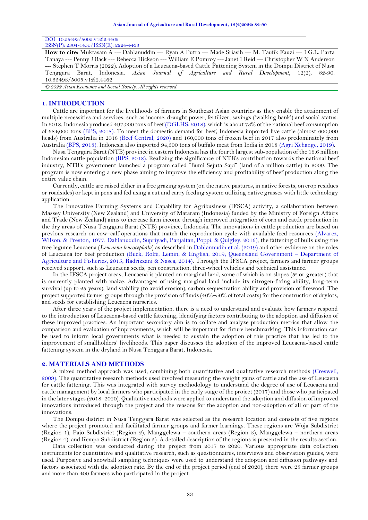# DOI: 10.55493/5005.v12i2.4462

ISSN(P): 2304-1455/ISSN(E): 2224-4433

**How to cite:** Muktasam A --- Dahlanuddin --- Ryan A Putra --- Made Sriasih --- M. Taufik Fauzi --- I G.L. Parta Tanaya --- Penny J Back --- Rebecca Hickson --- William E Pomroy --- Janet I Reid --- Christopher W N Anderson --- Stephen T Morris (2022). Adoption of a Leucaena-based Cattle Fattening System in the Dompu District of Nusa Tenggara Barat, Indonesia. *Asian Journal of Agriculture and Rural Development*, 12(2), 82-90. 10.55493/5005.v12i2.4462

*© 2022 Asian Economic and Social Society. All rights reserved.*

## **1. INTRODUCTION**

Cattle are important for the livelihoods of farmers in Southeast Asian countries as they enable the attainment of multiple necessities and services, such as income, draught power, fertilizer, savings ('walking bank') and social status. In 2018, Indonesia produced 497,000 tons of beef [\(DGLHS, 2018\)](#page-8-0), which is about 73% of the national beef consumption of 684,000 tons [\(BPS, 2018\)](#page-7-0). To meet the domestic demand for beef, Indonesia imported live cattle (almost 600,000 heads) from Australia in 2018 [\(Beef Central,](#page-7-1) 2020) and 160,000 tons of frozen beef in 2017 also predominately from Australi[a \(BPS,](#page-7-0) 2018). Indonesia also imported 94,500 tons of buffalo meat from India in 2018 [\(Agri Xchange, 2019\)](#page-7-2).

Nusa Tenggara Barat (NTB) province in eastern Indonesia has the fourth largest sub-population of the 16.6 million Indonesian cattle population [\(BPS, 2018\)](#page-7-0). Realizing the significance of NTB's contribution towards the national beef industry, NTB's government launched a program called "Bumi Sejuta Sapi" (land of a million cattle) in 2009. The program is now entering a new phase aiming to improve the efficiency and profitability of beef production along the entire value chain.

Currently, cattle are raised either in a free grazing system (on the native pastures, in native forests, on crop residues or roadsides) or kept in pens and fed using a cut and carry feeding system utilizing native grasses with little technology application.

The Innovative Farming Systems and Capability for Agribusiness (IFSCA) activity, a collaboration between Massey University (New Zealand) and University of Mataram (Indonesia) funded by the Ministry of Foreign Affairs and Trade (New Zealand) aims to increase farm income through improved integration of corn and cattle production in the dry areas of Nusa Tenggara Barat (NTB) province, Indonesia. The innovations in cattle production are based on previous research on cow–calf operations that match the reproduction cycle with available feed resources [\(Alvarez,](#page-7-3)  [Wilson, & Preston, 1977;](#page-7-3) [Dahlanuddin, Supriyadi, Panjaitan, Poppi, & Quigley, 2016\)](#page-8-1), the fattening of bulls using the tree legume Leucaena (*Leucaena leucocephala*) as described in [Dahlannudin et al. \(2019\)](#page-8-2) and other evidence on the roles of Leucaena for beef production [\(Buck, Rolfe, Lemin, & English, 2019;](#page-8-3) [Queensland Government](#page-8-4) – Department of [Agriculture and Fisheries, 2015;](#page-8-4) [Radrizzani & Nasca, 2014\)](#page-8-5). Through the IFSCA project, farmers and farmer groups received support, such as Leucaena seeds, pen construction, three-wheel vehicles and technical assistance.

In the IFSCA project areas, Leucaena is planted on marginal land, some of which is on slopes (5° or greater) that is currently planted with maize. Advantages of using marginal land include its nitrogen-fixing ability, long-term survival (up to 25 years), land stability (to avoid erosion), carbon sequestration ability and provision of firewood. The project supported farmer groups through the provision of funds (40%–50% of total costs) for the construction of drylots, and seeds for establishing Leucaena nurseries.

After three years of the project implementation, there is a need to understand and evaluate how farmers respond to the introduction of Leucaena-based cattle fattening, identifying factors contributing to the adoption and diffusion of these improved practices. An important secondary aim is to collate and analyze production metrics that allow the comparison and evaluation of improvements, which will be important for future benchmarking. This information can be used to inform local governments what is needed to sustain the adoption of this practice that has led to the improvement of smallholders' livelihoods. This paper discusses the adoption of the improved Leucaena-based cattle fattening system in the dryland in Nusa Tenggara Barat, Indonesia.

## **2. MATERIALS AND METHODS**

A mixed method approach was used, combining both quantitative and qualitative research methods [\(Creswell,](#page-8-6)  [2009\)](#page-8-6). The quantitative research methods used involved measuring the weight gains of cattle and the use of Leucaena for cattle fattening. This was integrated with survey methodology to understand the degree of use of Leucaena and cattle management by local farmers who participated in the early stage of the project (2017) and those who participated in the later stages (2018–2020). Qualitative methods were applied to understand the adoption and diffusion of improved innovations introduced through the project and the reasons for the adoption and non-adoption of all or part of the innovations.

The Dompu district in Nusa Tenggara Barat was selected as the research location and consists of five regions where the project promoted and facilitated farmer groups and farmer learnings. These regions are Woja Subdistrict (Region 1), Pajo Subdistrict (Region 2), Manggelewa – southern areas (Region 3), Manggelewa – northern areas (Region 4), and Kempo Subdistrict (Region 5). A detailed description of the regions is presented in the results section.

Data collection was conducted during the project from 2017 to 2020. Various appropriate data collection instruments for quantitative and qualitative research, such as questionnaires, interviews and observation guides, were used. Purposive and snowball sampling techniques were used to understand the adoption and diffusion pathways and factors associated with the adoption rate. By the end of the project period (end of 2020), there were 25 farmer groups and more than 400 farmers who participated in the project.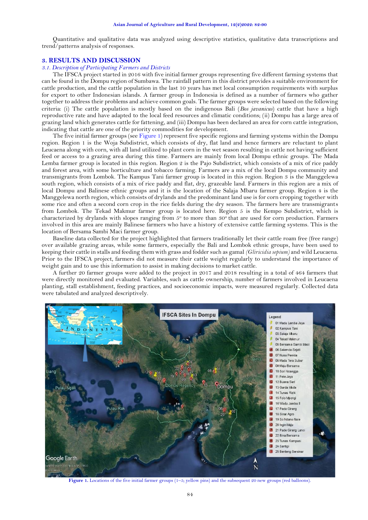Quantitative and qualitative data was analyzed using descriptive statistics, qualitative data transcriptions and trend/patterns analysis of responses.

## **3. RESULTS AND DISCUSSION**

# *3.1. Description of Participating Farmers and Districts*

The IFSCA project started in 2016 with five initial farmer groups representing five different farming systems that can be found in the Dompu region of Sumbawa. The rainfall pattern in this district provides a suitable environment for cattle production, and the cattle population in the last 10 years has met local consumption requirements with surplus for export to other Indonesian islands. A farmer group in Indonesia is defined as a number of farmers who gather together to address their problems and achieve common goals. The farmer groups were selected based on the following criteria: (i) The cattle population is mostly based on the indigenous Bali (*Bos javanicus*) cattle that have a high reproductive rate and have adapted to the local feed resources and climatic conditions; (ii) Dompu has a large area of grazing land which generates cattle for fattening, and (iii) Dompu has been declared an area for corn cattle integration, indicating that cattle are one of the priority commodities for development.

The five initial farmer groups (see [Figure 1\)](#page-2-0) represent five specific regions and farming systems within the Dompu region. Region 1 is the Woja Subdistrict, which consists of dry, flat land and hence farmers are reluctant to plant Leucaena along with corn, with all land utilized to plant corn in the wet season resulting in cattle not having sufficient feed or access to a grazing area during this time. Farmers are mainly from local Dompu ethnic groups. The Mada Lemba farmer group is located in this region. Region 2 is the Pajo Subdistrict, which consists of a mix of rice paddy and forest area, with some horticulture and tobacco farming. Farmers are a mix of the local Dompu community and transmigrants from Lombok. The Kampus Tani farmer group is located in this region. Region 3 is the Manggelewa south region, which consists of a mix of rice paddy and flat, dry, grazeable land. Farmers in this region are a mix of local Dompu and Balinese ethnic groups and it is the location of the Salaja Mbaru farmer group. Region 4 is the Manggelewa north region, which consists of drylands and the predominant land use is for corn cropping together with some rice and often a second corn crop in the rice fields during the dry season. The farmers here are transmigrants from Lombok. The Tekad Makmur farmer group is located here. Region 5 is the Kempo Subdistrict, which is characterized by drylands with slopes ranging from  $5^{\circ}$  to more than  $30^{\circ}$  that are used for corn production. Farmers involved in this area are mainly Balinese farmers who have a history of extensive cattle farming systems. This is the location of Bersama Sambi Maci farmer group.

Baseline data collected for the project highlighted that farmers traditionally let their cattle roam free (free range) over available grazing areas, while some farmers, especially the Bali and Lombok ethnic groups, have been used to keeping their cattle in stalls and feeding them with grass and fodder such as gamal *(Gliricidia sepium)* and wild Leucaena. Prior to the IFSCA project, farmers did not measure their cattle weight regularly to understand the importance of weight gain and to use this information to assist in making decisions to market cattle.

A further 20 farmer groups were added to the project in 2017 and 2018 resulting in a total of 464 farmers that were directly monitored and evaluated. Variables, such as cattle ownership, number of farmers involved in Leucaena planting, stall establishment, feeding practices, and socioeconomic impacts, were measured regularly. Collected data were tabulated and analyzed descriptively.



<span id="page-2-0"></span>**Figure 1.** Locations of the five initial farmer groups (1–5; yellow pins) and the subsequent 20 new groups (red balloons).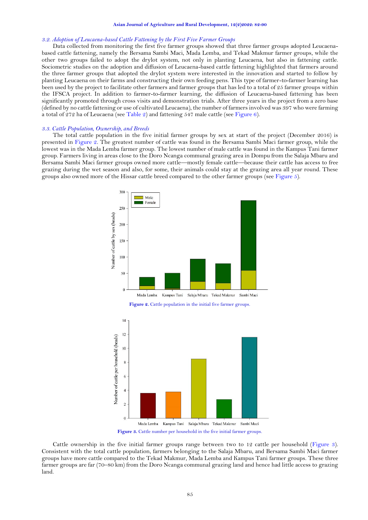#### **Asian Journal of Agriculture and Rural Development, 12(2)2022: 82-90**

### *3.2. Adoption of Leucaena-based Cattle Fattening by the First Five Farmer Groups*

Data collected from monitoring the first five farmer groups showed that three farmer groups adopted Leucaenabased cattle fattening, namely the Bersama Sambi Maci, Mada Lemba, and Tekad Makmur farmer groups, while the other two groups failed to adopt the drylot system, not only in planting Leucaena, but also in fattening cattle. Sociometric studies on the adoption and diffusion of Leucaena-based cattle fattening highlighted that farmers around the three farmer groups that adopted the drylot system were interested in the innovation and started to follow by planting Leucaena on their farms and constructing their own feeding pens. This type of farmer-to-farmer learning has been used by the project to facilitate other farmers and farmer groups that has led to a total of 25 farmer groups within the IFSCA project. In addition to farmer-to-farmer learning, the diffusion of Leucaena-based fattening has been significantly promoted through cross visits and demonstration trials. After three years in the project from a zero base (defined by no cattle fattening or use of cultivated Leucaena), the number of farmers involved was 397 who were farming a total of 272 ha of Leucaena (se[e Table 2\)](#page-5-0) and fattening 547 male cattle (see [Figure 6\)](#page-5-1).

#### *3.3. Cattle Population, Ownership, and Breeds*

The total cattle population in the five initial farmer groups by sex at start of the project (December 2016) is presented in [Figure 2.](#page-3-0) The greatest number of cattle was found in the Bersama Sambi Maci farmer group, while the lowest was in the Mada Lemba farmer group. The lowest number of male cattle was found in the Kampus Tani farmer group. Farmers living in areas close to the Doro Ncanga communal grazing area in Dompu from the Salaja Mbaru and Bersama Sambi Maci farmer groups owned more cattle—mostly female cattle—because their cattle has access to free grazing during the wet season and also, for some, their animals could stay at the grazing area all year round. These groups also owned more of the Hissar cattle breed compared to the other farmer groups (se[e Figure 5\)](#page-4-0).

<span id="page-3-0"></span>

<span id="page-3-1"></span>Cattle ownership in the five initial farmer groups range between two to 12 cattle per household [\(Figure 3\)](#page-3-1). Consistent with the total cattle population, farmers belonging to the Salaja Mbaru, and Bersama Sambi Maci farmer groups have more cattle compared to the Tekad Makmur, Mada Lemba and Kampus Tani farmer groups. These three farmer groups are far (70–80 km) from the Doro Ncanga communal grazing land and hence had little access to grazing land.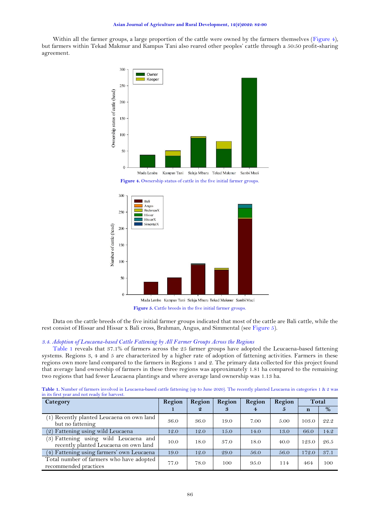Within all the farmer groups, a large proportion of the cattle were owned by the farmers themselves [\(Figure 4\)](#page-4-1), but farmers within Tekad Makmur and Kampus Tani also reared other peoples' cattle through a 50:50 profit-sharing agreement.



Figure 4. Ownership status of cattle in the five initial farmer groups.

<span id="page-4-1"></span>

<span id="page-4-0"></span>Data on the cattle breeds of the five initial farmer groups indicated that most of the cattle are Bali cattle, while the rest consist of Hissar and Hissar x Bali cross, Brahman, Angus, and Simmental (se[e Figure 5\)](#page-4-0).

# *3.4. Adoption of Leucaena-based Cattle Fattening by All Farmer Groups Across the Regions*

[Table 1](#page-4-2) reveals that 37.1% of farmers across the 25 farmer groups have adopted the Leucaena-based fattening systems. Regions 3, 4 and 5 are characterized by a higher rate of adoption of fattening activities. Farmers in these regions own more land compared to the farmers in Regions 1 and 2. The primary data collected for this project found that average land ownership of farmers in these three regions was approximately 1.81 ha compared to the remaining two regions that had fewer Leucaena plantings and where average land ownership was 1.13 ha.

<span id="page-4-2"></span>

| Table 1. Number of farmers involved in Leucaena-based cattle fattening (up to June 2020). The recently planted Leucaena in categories 1 & 2 was |  |  |  |  |  |
|-------------------------------------------------------------------------------------------------------------------------------------------------|--|--|--|--|--|
| in its first year and not ready for harvest.                                                                                                    |  |  |  |  |  |
|                                                                                                                                                 |  |  |  |  |  |

| Category                                                                       | Region | Region           | Region | Region         | Region | Total |      |
|--------------------------------------------------------------------------------|--------|------------------|--------|----------------|--------|-------|------|
|                                                                                |        | $\boldsymbol{Q}$ | 3      | $\overline{4}$ | Ð      | n     | %    |
| (1) Recently planted Leucaena on own land<br>but no fattening                  | 36.0   | 36.0             | 19.0   | 7.00           | 5.00   | 103.0 | 22.2 |
| (2) Fattening using wild Leucaena                                              | 12.0   | 12.0             | 15.0   | 14.0           | 13.0   | 66.0  | 14.2 |
| (3) Fattening using wild Leucaena and<br>recently planted Leucaena on own land | 10.0   | 18.0             | 37.0   | 18.0           | 40.0   | 123.0 | 26.5 |
| (4) Fattening using farmers' own Leucaena                                      | 19.0   | 12.0             | 29.0   | 56.0           | 56.0   | 172.0 | 37.1 |
| Total number of farmers who have adopted<br>recommended practices              | 77.0   | 78.0             | 100    | 95.0           | 114    | 464   | 100  |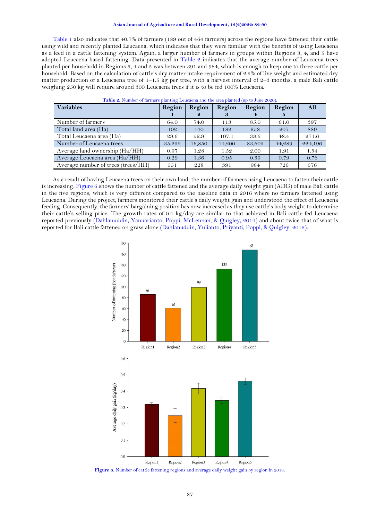### **Asian Journal of Agriculture and Rural Development, 12(2)2022: 82-90**

[Table 1](#page-4-2) also indicates that 40.7% of farmers (189 out of 464 farmers) across the regions have fattened their cattle using wild and recently planted Leucaena, which indicates that they were familiar with the benefits of using Leucaena as a feed in a cattle fattening system. Again, a larger number of farmers in groups within Regions 3, 4, and 5 have adopted Leucaena-based fattening. Data presented in [Table 2](#page-5-0) indicates that the average number of Leucaena trees planted per household in Regions 3, 4 and 5 was between 391 and 984, which is enough to keep one to three cattle per household. Based on the calculation of cattle's dry matter intake requirement of 2.5% of live weight and estimated dry matter production of a Leucaena tree of  $1-1.5$  kg per tree, with a harvest interval of  $2-3$  months, a male Bali cattle weighing 250 kg will require around 300 Leucaena trees if it is to be fed 100% Leucaena.

<span id="page-5-0"></span>

| <b>Variables</b>                   | Region | Region           | Region | Region | Region | All     |
|------------------------------------|--------|------------------|--------|--------|--------|---------|
|                                    |        | $\boldsymbol{2}$ | 3      | 4      |        |         |
| Number of farmers                  | 64.0   | 74.0             | 113    | 85.0   | 61.0   | 397     |
| Total land area (Ha)               | 102    | 140              | 182    | 258    | 207    | 889     |
| Total Leucaena area (Ha)           | 29.6   | 52.9             | 107.1  | 33.6   | 48.4   | 271.6   |
| Number of Leucaena trees           | 35,252 | 16,850           | 44,200 | 83,605 | 44,289 | 224,196 |
| Average land ownership (Ha/HH)     | 0.97   | 1.28             | 1.52   | 2.00   | 1.91   | 1.54    |
| Average Leucaena area (Ha/HH)      | 0.29   | 1.36             | 0.95   | 0.39   | 0.79   | 0.76    |
| Average number of trees (trees/HH) | 551    | 228              | 391    | 984    | 726    | 576     |

| <b>Table 2.</b> Number of farmers planting Leucaena and the area planted (up to June 2020). |  |  |
|---------------------------------------------------------------------------------------------|--|--|
|---------------------------------------------------------------------------------------------|--|--|

As a result of having Leucaena trees on their own land, the number of farmers using Leucaena to fatten their cattle is increasing[. Figure 6](#page-5-1) shows the number of cattle fattened and the average daily weight gain (ADG) of male Bali cattle in the five regions, which is very different compared to the baseline data in 2016 where no farmers fattened using Leucaena. During the project, farmers monitored their cattle's daily weight gain and understood the effect of Leucaena feeding. Consequently, the farmers' bargaining position has now increased as they use cattle's body weight to determine their cattle's selling price. The growth rates of 0.4 kg/day are similar to that achieved in Bali cattle fed Leucaena reported previously [\(Dahlanuddin, Yanuarianto, Poppi, McLennan, & Quigley, 2014\)](#page-8-7) and about twice that of what is reported for Bali cattle fattened on grass alone [\(Dahlanuddin, Yulianto, Priyanti, Poppi, & Quigley, 2012\)](#page-8-8).



<span id="page-5-1"></span>**Figure 6.** Number of cattle fattening regions and average daily weight gain by region in 2018.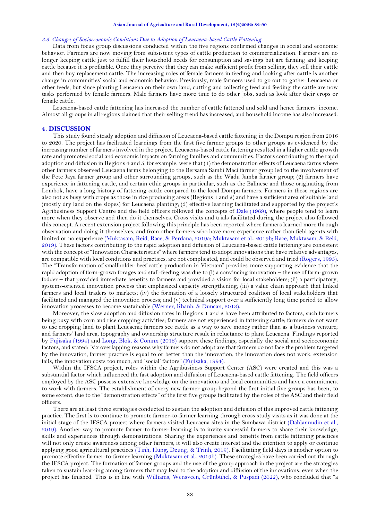### *3.5. Changes of Socioeconomic Conditions Due to Adoption of Leucaena-based Cattle Fattening*

Data from focus group discussions conducted within the five regions confirmed changes in social and economic behavior. Farmers are now moving from subsistent types of cattle production to commercialization. Farmers are no longer keeping cattle just to fulfill their household needs for consumption and savings but are farming and keeping cattle because it is profitable. Once they perceive that they can make sufficient profit from selling, they sell their cattle and then buy replacement cattle. The increasing roles of female farmers in feeding and looking after cattle is another change in communities' social and economic behavior. Previously, male farmers used to go out to gather Leucaena or other feeds, but since planting Leucaena on their own land, cutting and collecting feed and feeding the cattle are now tasks performed by female farmers. Male farmers have more time to do other jobs, such as look after their crops or female cattle.

Leucaena-based cattle fattening has increased the number of cattle fattened and sold and hence farmers' income. Almost all groups in all regions claimed that their selling trend has increased, and household income has also increased.

### **4. DISCUSSION**

This study found steady adoption and diffusion of Leucaena-based cattle fattening in the Dompu region from 2016 to 2020. The project has facilitated learnings from the first five farmer groups to other groups as evidenced by the increasing number of farmers involved in the project. Leucaena-based cattle fattening resulted in a higher cattle growth rate and promoted social and economic impacts on farming families and communities. Factors contributing to the rapid adoption and diffusion in Regions 4 and 5, for example, were that (1) the demonstration effects of Leucaena farms where other farmers observed Leucaena farms belonging to the Bersama Sambi Maci farmer group led to the involvement of the Pete Jaya farmer group and other surrounding groups, such as the Wadu Jamba farmer group; (2) farmers have experience in fattening cattle, and certain ethic groups in particular, such as the Balinese and those originating from Lombok, have a long history of fattening cattle compared to the local Dompu farmers. Farmers in these regions are also not as busy with crops as those in rice producing areas (Regions 1 and 2) and have a sufficient area of suitable land (mostly dry land on the slopes) for Leucaena planting; (3) effective learning facilitated and supported by the project's Agribusiness Support Centre and the field officers followed the concepts of [Dale \(1969\)](#page-8-9), where people tend to learn more when they observe and then do it themselves. Cross visits and trials facilitated during the project also followed this concept. A recent extension project following this principle has been reported where farmers learned more through observation and doing it themselves, and from other farmers who have more experience rather than field agents with limited or no experience [\(Muktasam, Reid, Race, & Perdana, 2019a;](#page-8-10) [Muktasam et al., 2019b;](#page-8-11) [Race, Muktasam, & Reid,](#page-8-12)  [2019\)](#page-8-12). These factors contributing to the rapid adoption and diffusion of Leucaena-based cattle fattening are consistent with the concept of "Innovation Characteristics" where farmers tend to adopt innovations that have relative advantages, are compatible with local conditions and practices, are not complicated, and could be observed and tried [\(Rogers, 1995\)](#page-8-13). The "Transformation of smallholder beef cattle production in Vietnam" provides more supporting evidence that the rapid adoption of farm-grown forages and stall-feeding was due to (i) a convincing innovation – the use of farm-grown fodder – that provided immediate benefits to farmers and provided a vision for local stakeholders; (ii) a participatory, systems-oriented innovation process that emphasized capacity strengthening; (iii) a value chain approach that linked farmers and local traders to markets; (iv) the formation of a loosely structured coalition of local stakeholders that facilitated and managed the innovation process; and (v) technical support over a sufficiently long time period to allow innovation processes to become sustainable [\(Werner, Khanh, & Duncan, 2013\)](#page-8-14).

Moreover, the slow adoption and diffusion rates in Regions 1 and 2 have been attributed to factors, such farmers being busy with corn and rice cropping activities; farmers are not experienced in fattening cattle; farmers do not want to use cropping land to plant Leucaena; farmers see cattle as a way to save money rather than as a business venture; and farmers' land area, topography and ownership structure result in reluctance to plant Leucaena. Findings reported by [Fujisaka \(1994\)](#page-8-15) and [Long, Blok, &](#page-8-16) Coninx (2016) support these findings, especially the social and socioeconomic factors, and stated: "six overlapping reasons why farmers do not adopt are that farmers do not face the problem targeted by the innovation, farmer practice is equal to or better than the innovation, the innovation does not work, extension fails, the innovation costs too much, and 'social' factors" [\(Fujisaka, 1994\)](#page-8-15).

Within the IFSCA project, roles within the Agribusiness Support Center (ASC) were created and this was a substantial factor which influenced the fast adoption and diffusion of Leucaena-based cattle fattening. The field officers employed by the ASC possess extensive knowledge on the innovations and local communities and have a commitment to work with farmers. The establishment of every new farmer group beyond the first initial five groups has been, to some extent, due to the "demonstration effects" of the first five groups facilitated by the roles of the ASC and their field officers.

There are at least three strategies conducted to sustain the adoption and diffusion of this improved cattle fattening practice. The first is to continue to promote farmer-to-farmer learning through cross study visits as it was done at the initial stage of the IFSCA project where farmers visited Leucaena sites in the Sumbawa district [\(Dahlannudin et al.,](#page-8-2)  [2019\)](#page-8-2). Another way to promote farmer-to-farmer learning is to invite successful farmers to share their knowledge, skills and experiences through demonstrations. Sharing the experiences and benefits from cattle fattening practices will not only create awareness among other farmers, it will also create interest and the intention to apply or continue applying good agricultural practices [\(Tinh, Hung, Dzung, & Trinh, 2019\)](#page-8-17). Facilitating field days is another option to promote effective farmer-to-farmer learning [\(Muktasam et al., 2019b\)](#page-8-11). These strategies have been carried out through the IFSCA project. The formation of farmer groups and the use of the group approach in the project are the strategies taken to sustain learning among farmers that may lead to the adoption and diffusion of the innovations, even when the project has finished. This is in line with [Williams, Wensveen, Grünbühel, &](#page-8-18) Puspadi (2022), who concluded that "a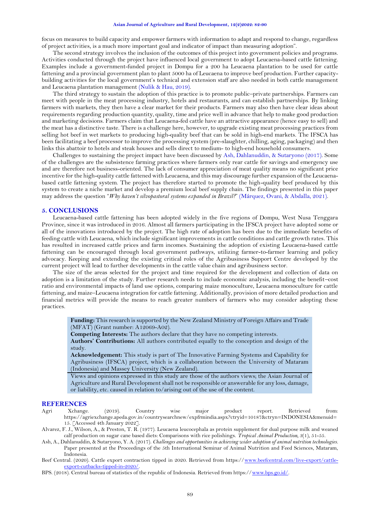#### **Asian Journal of Agriculture and Rural Development, 12(2)2022: 82-90**

focus on measures to build capacity and empower farmers with information to adapt and respond to change, regardless of project activities, is a much more important goal and indicator of impact than measuring adoption".

The second strategy involves the inclusion of the outcomes of this project into government policies and programs. Activities conducted through the project have influenced local government to adopt Leucaena-based cattle fattening. Examples include a government-funded project in Dompu for a 200 ha Leucaena plantation to be used for cattle fattening and a provincial government plan to plant 5000 ha of Leucaena to improve beef production. Further capacitybuilding activities for the local government's technical and extension staff are also needed in both cattle management and Leucaena plantation management [\(Nulik & Hau, 2019\)](#page-8-19).

The third strategy to sustain the adoption of this practice is to promote public–private partnerships. Farmers can meet with people in the meat processing industry, hotels and restaurants, and can establish partnerships. By linking farmers with markets, they then have a clear market for their products. Farmers may also then have clear ideas about requirements regarding production quantity, quality, time and price well in advance that help to make good production and marketing decisions. Farmers claim that Leucaena-fed cattle have an attractive appearance (hence easy to sell) and the meat has a distinctive taste. There is a challenge here, however, to upgrade existing meat processing practices from selling hot beef in wet markets to producing high-quality beef that can be sold in high-end markets. The IFSCA has been facilitating a beef processor to improve the processing system (pre-slaughter, chilling, aging, packaging) and then links this abattoir to hotels and steak houses and sells direct to medium- to high-end household consumers.

Challenges to sustaining the project impact have been discussed by [Ash, Dahlanuddin, &](#page-7-4) Sutaryono (2017). Some of the challenges are the subsistence farming practices where farmers only rear cattle for savings and emergency use and are therefore not business-oriented. The lack of consumer appreciation of meat quality means no significant price incentive for the high-quality cattle fattened with Leucaena, and this may discourage further expansion of the Leucaenabased cattle fattening system. The project has therefore started to promote the high-quality beef produced by this system to create a niche market and develop a premium local beef supply chain. The findings presented in this paper may address the question "*Why haven't silvopastoral systems expanded in Brazil?*" [\(Márquez, Ovani, & Abdalla, 2021\)](#page-8-20).

## **5. CONCLUSIONS**

Leucaena-based cattle fattening has been adopted widely in the five regions of Dompu, West Nusa Tenggara Province, since it was introduced in 2016. Almost all farmers participating in the IFSCA project have adopted some or all of the innovations introduced by the project. The high rate of adoption has been due to the immediate benefits of feeding cattle with Leucaena, which include significant improvements in cattle conditions and cattle growth rates. This has resulted in increased cattle prices and farm incomes. Sustaining the adoption of existing Leucaena-based cattle fattening can be encouraged through local government pathways, utilizing farmer-to-farmer learning and policy advocacy. Keeping and extending the existing critical roles of the Agribusiness Support Centre developed by the current project will lead to further developments in the cattle value chain and agribusiness sector.

The size of the areas selected for the project and time required for the development and collection of data on adoption is a limitation of the study. Further research needs to include economic analysis, including the benefit–cost ratio and environmental impacts of land use options, comparing maize monoculture, Leucaena monoculture for cattle fattening, and maize–Leucaena integration for cattle fattening. Additionally, provision of more detailed production and financial metrics will provide the means to reach greater numbers of farmers who may consider adopting these practices.

**Funding:** This research is supported by the New Zealand Ministry of Foreign Affairs and Trade (MFAT) (Grant number: A12069-A02).

**Competing Interests:** The authors declare that they have no competing interests.

**Authors' Contributions:** All authors contributed equally to the conception and design of the study.

**Acknowledgement:** This study is part of The Innovative Farming Systems and Capability for Agribusiness (IFSCA) project, which is a collaboration between the University of Mataram (Indonesia) and Massey University (New Zealand).

Views and opinions expressed in this study are those of the authors views; the Asian Journal of Agriculture and Rural Development shall not be responsible or answerable for any loss, damage, or liability, etc. caused in relation to/arising out of the use of the content.

# **REFERENCES**

- <span id="page-7-2"></span>Agri Xchange. (2019). Country wise major product report. Retrieved from: https://agriexchange.apeda.gov.in/countrysearchnew/expfrmindia.aspx?ctryid=10187&ctryn=INDONESIA&menuid= 15. [Accessed 4th January 2022].
- <span id="page-7-3"></span>Alvarez, F. J., Wilson, A., & Preston, T. R. (1977). Leucaena leucocephala as protein supplement for dual purpose milk and weaned calf production on sugar cane based diets: Comparisons with rice polishings. *Tropical Animal Production, 3*(1), 51-55.
- <span id="page-7-4"></span>Ash, A., Dahlanuddin, & Sutaryono, Y. A. (2017). *Challenges and opportunities in achieving wider adoption of animal nutrition technologies.* Paper presented at the Proceedings of the 5th International Seminar of Animal Nutrition and Feed Sciences, Mataram, Indonesia.
- <span id="page-7-1"></span>Beef Central. (2020). Cattle export contraction tipped in 2020. Retrieved from https:/[/www.beefcentral.com/live-export/cattle](http://www.beefcentral.com/live-export/cattle-export-cutbacks-tipped-in-2020/)[export-cutbacks-tipped-in-2020/.](http://www.beefcentral.com/live-export/cattle-export-cutbacks-tipped-in-2020/)
- <span id="page-7-0"></span>BPS. (2018). Central bureau of statistics of the republic of Indonesia. Retrieved from https:/[/www.bps.go.id/.](http://www.bps.go.id/)